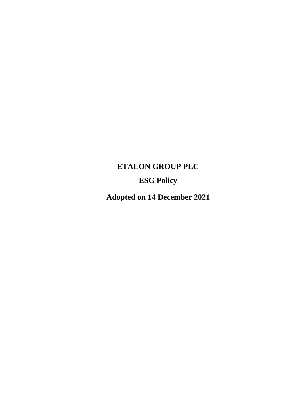# **ETALON GROUP PLC ESG Policy**

**Adopted on 14 December 2021**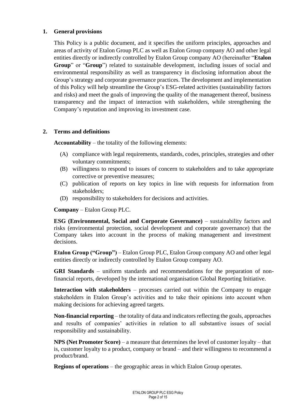#### **1. General provisions**

This Policy is a public document, and it specifies the uniform principles, approaches and areas of activity of Etalon Group PLC as well as Etalon Group company AO and other legal entities directly or indirectly controlled by Etalon Group company AO (hereinafter "**Etalon Group**" or "**Group**") related to sustainable development, including issues of social and environmental responsibility as well as transparency in disclosing information about the Group's strategy and corporate governance practices. The development and implementation of this Policy will help streamline the Group's ESG-related activities (sustainability factors and risks) and meet the goals of improving the quality of the management thereof, business transparency and the impact of interaction with stakeholders, while strengthening the Company's reputation and improving its investment case.

#### **2. Terms and definitions**

**Accountability** – the totality of the following elements:

- (A) compliance with legal requirements, standards, codes, principles, strategies and other voluntary commitments;
- (B) willingness to respond to issues of concern to stakeholders and to take appropriate corrective or preventive measures;
- (C) publication of reports on key topics in line with requests for information from stakeholders;
- (D) responsibility to stakeholders for decisions and activities.

**Company** – Etalon Group PLC.

**ESG (Environmental, Social and Corporate Governance)** – sustainability factors and risks (environmental protection, social development and corporate governance) that the Company takes into account in the process of making management and investment decisions.

**Etalon Group ("Group")** – Etalon Group PLC, Etalon Group company AO and other legal entities directly or indirectly controlled by Etalon Group company AO.

**GRI Standards** *–* uniform standards and recommendations for the preparation of nonfinancial reports, developed by the international organisation Global Reporting Initiative.

**Interaction with stakeholders** – processes carried out within the Company to engage stakeholders in Etalon Group's activities and to take their opinions into account when making decisions for achieving agreed targets.

**Non-financial reporting** *–* the totality of data and indicators reflecting the goals, approaches and results of companies' activities in relation to all substantive issues of social responsibility and sustainability.

**NPS (Net Promoter Score)** – a measure that determines the level of customer loyalty – that is, customer loyalty to a product, company or brand – and their willingness to recommend a product/brand.

**Regions of operations** – the geographic areas in which Etalon Group operates.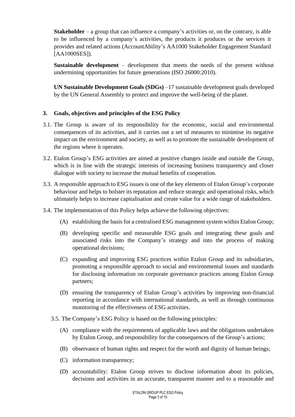**Stakeholder** – a group that can influence a company's activities or, on the contrary, is able to be influenced by a company's activities, the products it produces or the services it provides and related actions (AccountAbility's AA1000 Stakeholder Engagement Standard [AA1000SES]).

**Sustainable development** *–* development that meets the needs of the present without undermining opportunities for future generations (ISO 26000:2010).

**UN Sustainable Development Goals (SDGs)** –17 sustainable development goals developed by the UN General Assembly to protect and improve the well-being of the planet.

#### **3. Goals, objectives and principles of the ESG Policy**

- 3.1. The Group is aware of its responsibility for the economic, social and environmental consequences of its activities, and it carries out a set of measures to minimise its negative impact on the environment and society, as well as to promote the sustainable development of the regions where it operates.
- 3.2. Etalon Group's ESG activities are aimed at positive changes inside and outside the Group, which is in line with the strategic interests of increasing business transparency and closer dialogue with society to increase the mutual benefits of cooperation.
- 3.3. A responsible approach to ESG issues is one of the key elements of Etalon Group's corporate behaviour and helps to bolster its reputation and reduce strategic and operational risks, which ultimately helps to increase capitalisation and create value for a wide range of stakeholders.
- 3.4. The implementation of this Policy helps achieve the following objectives:
	- (A) establishing the basis for a centralised ESG management system within Etalon Group;
	- (B) developing specific and measurable ESG goals and integrating these goals and associated risks into the Company's strategy and into the process of making operational decisions;
	- (C) expanding and improving ESG practices within Etalon Group and its subsidiaries, promoting a responsible approach to social and environmental issues and standards for disclosing information on corporate governance practices among Etalon Group partners;
	- (D) ensuring the transparency of Etalon Group's activities by improving non-financial reporting in accordance with international standards, as well as through continuous monitoring of the effectiveness of ESG activities.
	- 3.5. The Company's ESG Policy is based on the following principles:
		- (A) compliance with the requirements of applicable laws and the obligations undertaken by Etalon Group, and responsibility for the consequences of the Group's actions;
		- (B) observance of human rights and respect for the worth and dignity of human beings;
		- (C) information transparency;
		- (D) accountability: Etalon Group strives to disclose information about its policies, decisions and activities in an accurate, transparent manner and to a reasonable and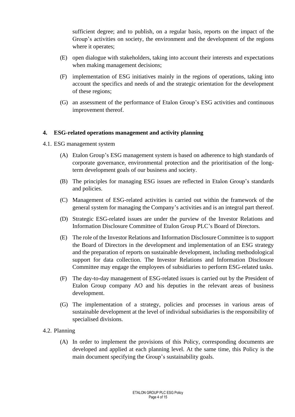sufficient degree; and to publish, on a regular basis, reports on the impact of the Group's activities on society, the environment and the development of the regions where it operates;

- (E) open dialogue with stakeholders, taking into account their interests and expectations when making management decisions;
- (F) implementation of ESG initiatives mainly in the regions of operations, taking into account the specifics and needs of and the strategic orientation for the development of these regions;
- (G) an assessment of the performance of Etalon Group's ESG activities and continuous improvement thereof.

#### **4. ESG-related operations management and activity planning**

- 4.1. ESG management system
	- (A) Etalon Group's ESG management system is based on adherence to high standards of corporate governance, environmental protection and the prioritisation of the longterm development goals of our business and society.
	- (B) The principles for managing ESG issues are reflected in Etalon Group's standards and policies.
	- (C) Management of ESG-related activities is carried out within the framework of the general system for managing the Company's activities and is an integral part thereof.
	- (D) Strategic ESG-related issues are under the purview of the Investor Relations and Information Disclosure Committee of Etalon Group PLC's Board of Directors.
	- (E) The role of the Investor Relations and Information Disclosure Committee isto support the Board of Directors in the development and implementation of an ESG strategy and the preparation of reports on sustainable development, including methodological support for data collection. The Investor Relations and Information Disclosure Committee may engage the employees of subsidiaries to perform ESG-related tasks.
	- (F) The day-to-day management of ESG-related issues is carried out by the President of Etalon Group company AO and his deputies in the relevant areas of business development.
	- (G) The implementation of a strategy, policies and processes in various areas of sustainable development at the level of individual subsidiaries is the responsibility of specialised divisions.
- 4.2. Planning
	- (A) In order to implement the provisions of this Policy, corresponding documents are developed and applied at each planning level. At the same time, this Policy is the main document specifying the Group's sustainability goals.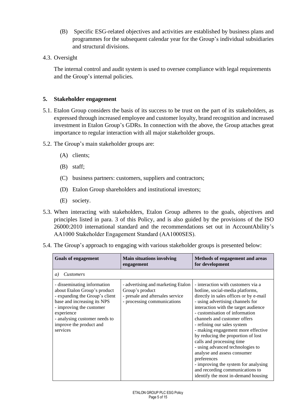- (B) Specific ESG-related objectives and activities are established by business plans and programmes for the subsequent calendar year for the Group's individual subsidiaries and structural divisions.
- 4.3. Oversight

The internal control and audit system is used to oversee compliance with legal requirements and the Group's internal policies.

#### **5. Stakeholder engagement**

- 5.1. Etalon Group considers the basis of its success to be trust on the part of its stakeholders, as expressed through increased employee and customer loyalty, brand recognition and increased investment in Etalon Group's GDRs. In connection with the above, the Group attaches great importance to regular interaction with all major stakeholder groups.
- 5.2. The Group's main stakeholder groups are:
	- (A) clients;
	- (B) staff;
	- (C) business partners: customers, suppliers and contractors;
	- (D) Etalon Group shareholders and institutional investors;
	- (E) society.
- 5.3. When interacting with stakeholders, Etalon Group adheres to the goals, objectives and principles listed in para. 3 of this Policy, and is also guided by the provisions of the ISO 26000:2010 international standard and the recommendations set out in AccountAbility's AA1000 Stakeholder Engagement Standard (АА1000SES).
- 5.4. The Group's approach to engaging with various stakeholder groups is presented below:

| <b>Goals of engagement</b>                                                                                                                                                                                                                     | <b>Main situations involving</b><br>engagement                                                                           | Methods of engagement and areas<br>for development                                                                                                                                                                                                                                                                                                                                                                                                                                                                                                                                                         |
|------------------------------------------------------------------------------------------------------------------------------------------------------------------------------------------------------------------------------------------------|--------------------------------------------------------------------------------------------------------------------------|------------------------------------------------------------------------------------------------------------------------------------------------------------------------------------------------------------------------------------------------------------------------------------------------------------------------------------------------------------------------------------------------------------------------------------------------------------------------------------------------------------------------------------------------------------------------------------------------------------|
| <b>Customers</b><br>a)                                                                                                                                                                                                                         |                                                                                                                          |                                                                                                                                                                                                                                                                                                                                                                                                                                                                                                                                                                                                            |
| - disseminating information<br>about Etalon Group's product<br>- expanding the Group's client<br>base and increasing its NPS<br>- improving the customer<br>experience<br>- analysing customer needs to<br>improve the product and<br>services | - advertising and marketing Etalon<br>Group's product<br>- presale and aftersales service<br>- processing communications | - interaction with customers via a<br>hotline, social-media platforms,<br>directly in sales offices or by e-mail<br>- using advertising channels for<br>interaction with the target audience<br>- customisation of information<br>channels and customer offers<br>- refining our sales system<br>- making engagement more effective<br>by reducing the proportion of lost<br>calls and processing time<br>- using advanced technologies to<br>analyse and assess consumer<br>preferences<br>- improving the system for analysing<br>and recording communications to<br>identify the most in-demand housing |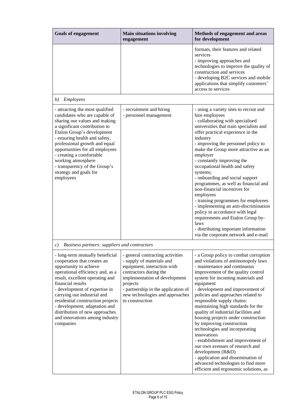| <b>Goals of engagement</b>                                                                                                                                                                                                                                                                                                                                                                      | <b>Main situations involving</b><br>engagement                                                                                                                                                                                                                   | Methods of engagement and areas<br>for development                                                                                                                                                                                                                                                                                                                                                                                                                                                                                                                                                                                                                                                                                      |
|-------------------------------------------------------------------------------------------------------------------------------------------------------------------------------------------------------------------------------------------------------------------------------------------------------------------------------------------------------------------------------------------------|------------------------------------------------------------------------------------------------------------------------------------------------------------------------------------------------------------------------------------------------------------------|-----------------------------------------------------------------------------------------------------------------------------------------------------------------------------------------------------------------------------------------------------------------------------------------------------------------------------------------------------------------------------------------------------------------------------------------------------------------------------------------------------------------------------------------------------------------------------------------------------------------------------------------------------------------------------------------------------------------------------------------|
|                                                                                                                                                                                                                                                                                                                                                                                                 |                                                                                                                                                                                                                                                                  | formats, their features and related<br>services<br>- improving approaches and<br>technologies to improve the quality of<br>construction and services<br>- developing B2C services and mobile<br>applications that simplify customers'<br>access to services                                                                                                                                                                                                                                                                                                                                                                                                                                                                             |
| Employees<br>b)                                                                                                                                                                                                                                                                                                                                                                                 |                                                                                                                                                                                                                                                                  |                                                                                                                                                                                                                                                                                                                                                                                                                                                                                                                                                                                                                                                                                                                                         |
| - attracting the most qualified<br>candidates who are capable of<br>sharing our values and making<br>a significant contribution to<br>Etalon Group's development<br>- ensuring health and safety,<br>professional growth and equal<br>opportunities for all employees<br>- creating a comfortable<br>working atmosphere<br>- transparency of the Group's<br>strategy and goals for<br>employees | - recruitment and hiring<br>- personnel management                                                                                                                                                                                                               | - using a variety sites to recruit and<br>hire employees<br>- collaborating with specialised<br>universities that train specialists and<br>offer practical experience in the<br>industry<br>- improving the personnel policy to<br>make the Group more attractive as an<br>employer<br>- constantly improving the<br>occupational health and safety<br>systems;<br>- onboarding and social support<br>programmes, as well as financial and<br>non-financial incentives for<br>employees<br>- training programmes for employees<br>- implementing an anti-discrimination<br>policy in accordance with legal<br>requirements and Etalon Group by-<br>laws<br>- distributing important information<br>via the corporate network and e-mail |
| Business partners: suppliers and contractors<br>$\mathcal{C}$ )                                                                                                                                                                                                                                                                                                                                 |                                                                                                                                                                                                                                                                  |                                                                                                                                                                                                                                                                                                                                                                                                                                                                                                                                                                                                                                                                                                                                         |
| - long-term mutually beneficial<br>cooperation that creates an<br>opportunity to achieve<br>operational efficiency and, as a<br>result, excellent operating and<br>financial results<br>- development of expertise in<br>carrying out industrial and<br>residential construction projects<br>- development, adaptation and<br>distribution of new approaches                                    | - general contracting activities<br>- supply of materials and<br>equipment, interaction with<br>contractors during the<br>implementation of development<br>projects<br>- partnership in the application of<br>new technologies and approaches<br>to construction | - a Group policy to combat corruption<br>and violations of antimonopoly laws<br>- maintenance and continuous<br>improvement of the quality control<br>system for incoming materials and<br>equipment<br>- development and improvement of<br>policies and approaches related to<br>responsible supply chains:<br>maintaining high standards for the<br>quality of industrial facilities and                                                                                                                                                                                                                                                                                                                                              |

housing projects under construction

- establishment and improvement of our own avenues of research and

- application and dissemination of advanced technologies to find more efficient and ergonomic solutions, as

by improving construction technologies and incorporating

development (R&D)

innovations

and innovations among industry

companies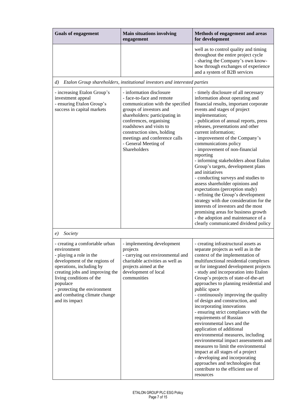| <b>Goals of engagement</b>                                                                                                                                                                                                                                                                         | <b>Main situations involving</b><br>engagement                                                                                                                                                                                                                                                                       | Methods of engagement and areas<br>for development                                                                                                                                                                                                                                                                                                                                                                                                                                                                                                                                                                                                                                                                                                                                                                                                                     |
|----------------------------------------------------------------------------------------------------------------------------------------------------------------------------------------------------------------------------------------------------------------------------------------------------|----------------------------------------------------------------------------------------------------------------------------------------------------------------------------------------------------------------------------------------------------------------------------------------------------------------------|------------------------------------------------------------------------------------------------------------------------------------------------------------------------------------------------------------------------------------------------------------------------------------------------------------------------------------------------------------------------------------------------------------------------------------------------------------------------------------------------------------------------------------------------------------------------------------------------------------------------------------------------------------------------------------------------------------------------------------------------------------------------------------------------------------------------------------------------------------------------|
|                                                                                                                                                                                                                                                                                                    |                                                                                                                                                                                                                                                                                                                      | well as to control quality and timing<br>throughout the entire project cycle<br>- sharing the Company's own know-<br>how through exchanges of experience<br>and a system of B2B services                                                                                                                                                                                                                                                                                                                                                                                                                                                                                                                                                                                                                                                                               |
| $\left( d\right)$                                                                                                                                                                                                                                                                                  | Etalon Group shareholders, institutional investors and interested parties                                                                                                                                                                                                                                            |                                                                                                                                                                                                                                                                                                                                                                                                                                                                                                                                                                                                                                                                                                                                                                                                                                                                        |
| - increasing Etalon Group's<br>investment appeal<br>- ensuring Etalon Group's<br>success in capital markets                                                                                                                                                                                        | - information disclosure<br>- face-to-face and remote<br>communication with the specified<br>groups of investors and<br>shareholders: participating in<br>conferences, organising<br>roadshows and visits to<br>construction sites, holding<br>meetings and conference calls<br>- General Meeting of<br>Shareholders | - timely disclosure of all necessary<br>information about operating and<br>financial results, important corporate<br>events and stages of project<br>implementation;<br>- publication of annual reports, press<br>releases, presentations and other<br>current information;<br>- improvement of the Company's<br>communications policy<br>- improvement of non-financial<br>reporting<br>- informing stakeholders about Etalon<br>Group's targets, development plans<br>and initiatives<br>- conducting surveys and studies to<br>assess shareholder opinions and<br>expectations (perception study)<br>- refining the Group's development<br>strategy with due consideration for the<br>interests of investors and the most<br>promising areas for business growth<br>- the adoption and maintenance of a<br>clearly communicated dividend policy                     |
| Society<br>e)                                                                                                                                                                                                                                                                                      |                                                                                                                                                                                                                                                                                                                      |                                                                                                                                                                                                                                                                                                                                                                                                                                                                                                                                                                                                                                                                                                                                                                                                                                                                        |
| - creating a comfortable urban<br>environment<br>- playing a role in the<br>development of the regions of<br>operations, including by<br>creating jobs and improving the<br>living conditions of the<br>populace<br>- protecting the environment<br>and combating climate change<br>and its impact | - implementing development<br>projects<br>- carrying out environmental and<br>charitable activities as well as<br>projects aimed at the<br>development of local<br>communities                                                                                                                                       | - creating infrastructural assets as<br>separate projects as well as in the<br>context of the implementation of<br>multifunctional residential complexes<br>or for integrated development projects<br>- study and incorporation into Etalon<br>Group's projects of state-of-the-art<br>approaches to planning residential and<br>public space<br>- continuously improving the quality<br>of design and construction, and<br>incorporating innovations<br>- ensuring strict compliance with the<br>requirements of Russian<br>environmental laws and the<br>application of additional<br>environmental measures, including<br>environmental impact assessments and<br>measures to limit the environmental<br>impact at all stages of a project<br>- developing and incorporating<br>approaches and technologies that<br>contribute to the efficient use of<br>resources |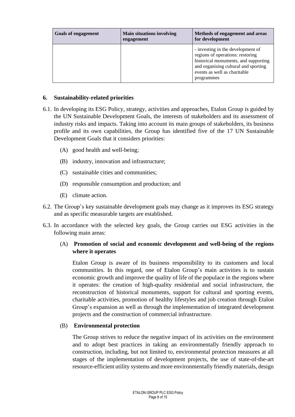| <b>Goals of engagement</b> | <b>Main situations involving</b><br>engagement | Methods of engagement and areas<br>for development                                                                                                                                                  |
|----------------------------|------------------------------------------------|-----------------------------------------------------------------------------------------------------------------------------------------------------------------------------------------------------|
|                            |                                                | - investing in the development of<br>regions of operations: restoring<br>historical monuments, and supporting<br>and organising cultural and sporting<br>events as well as charitable<br>programmes |

#### **6. Sustainability-related priorities**

- 6.1. In developing its ESG Policy, strategy, activities and approaches, Etalon Group is guided by the UN Sustainable Development Goals, the interests of stakeholders and its assessment of industry risks and impacts. Taking into account its main groups of stakeholders, its business profile and its own capabilities, the Group has identified five of the 17 UN Sustainable Development Goals that it considers priorities:
	- (A) good health and well-being;
	- (B) industry, innovation and infrastructure;
	- (C) sustainable cities and communities;
	- (D) responsible consumption and production; and
	- (E) climate action.
- 6.2. The Group's key sustainable development goals may change as it improves its ESG strategy and as specific measurable targets are established.
- 6.3. In accordance with the selected key goals, the Group carries out ESG activities in the following main areas:

### (A) **Promotion of social and economic development and well-being of the regions where it operates**

Etalon Group is aware of its business responsibility to its customers and local communities. In this regard, one of Etalon Group's main activities is to sustain economic growth and improve the quality of life of the populace in the regions where it operates: the creation of high-quality residential and social infrastructure, the reconstruction of historical monuments, support for cultural and sporting events, charitable activities, promotion of healthy lifestyles and job creation through Etalon Group's expansion as well as through the implementation of integrated development projects and the construction of commercial infrastructure.

#### (B) **Environmental protection**

The Group strives to reduce the negative impact of its activities on the environment and to adopt best practices in taking an environmentally friendly approach to construction, including, but not limited to, environmental protection measures at all stages of the implementation of development projects, the use of state-of-the-art resource-efficient utility systems and more environmentally friendly materials, design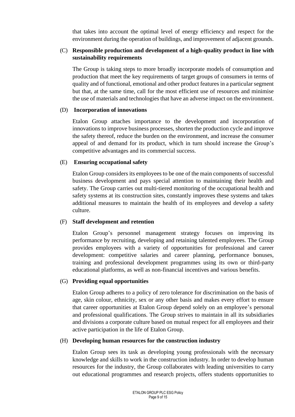that takes into account the optimal level of energy efficiency and respect for the environment during the operation of buildings, and improvement of adjacent grounds.

#### (C) **Responsible production and development of a high-quality product in line with sustainability requirements**

The Group is taking steps to more broadly incorporate models of consumption and production that meet the key requirements of target groups of consumers in terms of quality and of functional, emotional and other product features in a particular segment but that, at the same time, call for the most efficient use of resources and minimise the use of materials and technologies that have an adverse impact on the environment.

#### (D) **Incorporation of innovations**

Etalon Group attaches importance to the development and incorporation of innovations to improve business processes, shorten the production cycle and improve the safety thereof, reduce the burden on the environment, and increase the consumer appeal of and demand for its product, which in turn should increase the Group's competitive advantages and its commercial success.

#### (E) **Ensuring occupational safety**

Etalon Group considers its employees to be one of the main components of successful business development and pays special attention to maintaining their health and safety. The Group carries out multi-tiered monitoring of the occupational health and safety systems at its construction sites, constantly improves these systems and takes additional measures to maintain the health of its employees and develop a safety culture.

#### (F) **Staff development and retention**

Etalon Group's personnel management strategy focuses on improving its performance by recruiting, developing and retaining talented employees. The Group provides employees with a variety of opportunities for professional and career development: competitive salaries and career planning, performance bonuses, training and professional development programmes using its own or third-party educational platforms, as well as non-financial incentives and various benefits.

#### (G) **Providing equal opportunities**

Etalon Group adheres to a policy of zero tolerance for discrimination on the basis of age, skin colour, ethnicity, sex or any other basis and makes every effort to ensure that career opportunities at Etalon Group depend solely on an employee's personal and professional qualifications. The Group strives to maintain in all its subsidiaries and divisions a corporate culture based on mutual respect for all employees and their active participation in the life of Etalon Group.

#### (H) **Developing human resources for the construction industry**

Etalon Group sees its task as developing young professionals with the necessary knowledge and skills to work in the construction industry. In order to develop human resources for the industry, the Group collaborates with leading universities to carry out educational programmes and research projects, offers students opportunities to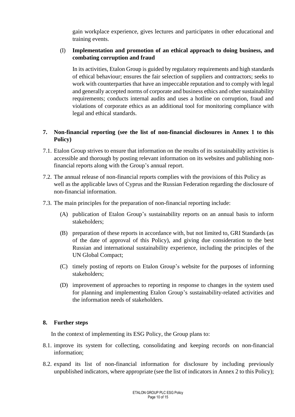gain workplace experience, gives lectures and participates in other educational and training events.

#### (I) **Implementation and promotion of an ethical approach to doing business, and combating corruption and fraud**

In its activities, Etalon Group is guided by regulatory requirements and high standards of ethical behaviour; ensures the fair selection of suppliers and contractors; seeks to work with counterparties that have an impeccable reputation and to comply with legal and generally accepted norms of corporate and business ethics and other sustainability requirements; conducts internal audits and uses a hotline on corruption, fraud and violations of corporate ethics as an additional tool for monitoring compliance with legal and ethical standards.

### **7. Non-financial reporting (see the list of non-financial disclosures in Annex 1 to this Policy)**

- 7.1. Etalon Group strives to ensure that information on the results of its sustainability activities is accessible and thorough by posting relevant information on its websites and publishing nonfinancial reports along with the Group's annual report.
- 7.2. The annual release of non-financial reports complies with the provisions of this Policy as well as the applicable laws of Cyprus and the Russian Federation regarding the disclosure of non-financial information.
- 7.3. The main principles for the preparation of non-financial reporting include:
	- (A) publication of Etalon Group's sustainability reports on an annual basis to inform stakeholders;
	- (B) preparation of these reports in accordance with, but not limited to, GRI Standards (as of the date of approval of this Policy), and giving due consideration to the best Russian and international sustainability experience, including the principles of the UN Global Compact;
	- (C) timely posting of reports on Etalon Group's website for the purposes of informing stakeholders;
	- (D) improvement of approaches to reporting in response to changes in the system used for planning and implementing Etalon Group's sustainability-related activities and the information needs of stakeholders.

### **8. Further steps**

In the context of implementing its ESG Policy, the Group plans to:

- 8.1. improve its system for collecting, consolidating and keeping records on non-financial information;
- 8.2. expand its list of non-financial information for disclosure by including previously unpublished indicators, where appropriate (see the list of indicators in Annex 2 to this Policy);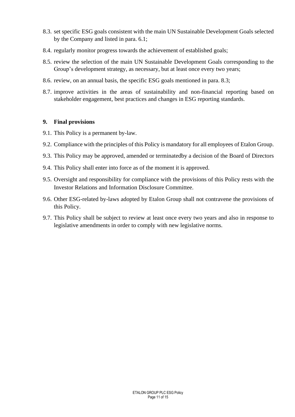- 8.3. set specific ESG goals consistent with the main UN Sustainable Development Goals selected by the Company and listed in para. 6.1;
- 8.4. regularly monitor progress towards the achievement of established goals;
- 8.5. review the selection of the main UN Sustainable Development Goals corresponding to the Group's development strategy, as necessary, but at least once every two years;
- 8.6. review, on an annual basis, the specific ESG goals mentioned in para. 8.3;
- 8.7. improve activities in the areas of sustainability and non-financial reporting based on stakeholder engagement, best practices and changes in ESG reporting standards.

#### **9. Final provisions**

- 9.1. This Policy is a permanent by-law.
- 9.2. Compliance with the principles of this Policy is mandatory for all employees of Etalon Group.
- 9.3. This Policy may be approved, amended or terminatedby a decision of the Board of Directors
- 9.4. This Policy shall enter into force as of the moment it is approved.
- 9.5. Oversight and responsibility for compliance with the provisions of this Policy rests with the Investor Relations and Information Disclosure Committee.
- 9.6. Other ESG-related by-laws adopted by Etalon Group shall not contravene the provisions of this Policy.
- 9.7. This Policy shall be subject to review at least once every two years and also in response to legislative amendments in order to comply with new legislative norms.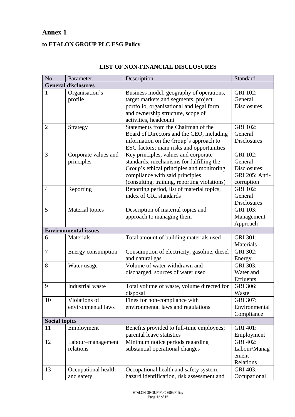## **Annex 1**

## **to ETALON GROUP PLC ESG Policy**

| No.            | Parameter                           | Description                                                                                                                                                                                                      | Standard                                                                          |  |
|----------------|-------------------------------------|------------------------------------------------------------------------------------------------------------------------------------------------------------------------------------------------------------------|-----------------------------------------------------------------------------------|--|
|                | <b>General disclosures</b>          |                                                                                                                                                                                                                  |                                                                                   |  |
| $\mathbf{1}$   | Organisation's<br>profile           | Business model, geography of operations,<br>target markets and segments, project<br>portfolio, organisational and legal form<br>and ownership structure, scope of<br>activities, headcount                       | <b>GRI 102:</b><br>General<br><b>Disclosures</b>                                  |  |
| $\overline{2}$ | Strategy                            | Statements from the Chairman of the<br>Board of Directors and the CEO, including<br>information on the Group's approach to<br>ESG factors; main risks and opportunities                                          | <b>GRI 102:</b><br>General<br><b>Disclosures</b>                                  |  |
| 3              | Corporate values and<br>principles  | Key principles, values and corporate<br>standards, mechanisms for fulfilling the<br>Group's ethical principles and monitoring<br>compliance with said principles<br>(consulting, training, reporting violations) | <b>GRI 102:</b><br>General<br>Disclosures;<br><b>GRI 205: Anti-</b><br>corruption |  |
| $\overline{4}$ | Reporting                           | Reporting period, list of material topics,<br>index of GRI standards                                                                                                                                             | <b>GRI 102:</b><br>General<br><b>Disclosures</b>                                  |  |
| 5              | Material topics                     | Description of material topics and<br>approach to managing them                                                                                                                                                  | <b>GRI 103:</b><br>Management<br>Approach                                         |  |
|                | <b>Environmental issues</b>         |                                                                                                                                                                                                                  |                                                                                   |  |
| 6              | Materials                           | Total amount of building materials used                                                                                                                                                                          | GRI 301:<br>Materials                                                             |  |
| $\overline{7}$ | Energy consumption                  | Consumption of electricity, gasoline, diesel<br>and natural gas                                                                                                                                                  | <b>GRI 302:</b><br>Energy                                                         |  |
| 8              | Water usage                         | Volume of water withdrawn and<br>discharged, sources of water used                                                                                                                                               | <b>GRI 303:</b><br>Water and<br>Effluents                                         |  |
| 9              | Industrial waste                    | Total volume of waste, volume directed for<br>disposal                                                                                                                                                           | GRI 306:<br>Waste                                                                 |  |
| 10             | Violations of<br>environmental laws | Fines for non-compliance with<br>environmental laws and regulations                                                                                                                                              | GRI 307:<br>Environmental<br>Compliance                                           |  |
|                | <b>Social topics</b>                |                                                                                                                                                                                                                  |                                                                                   |  |
| 11             | Employment                          | Benefits provided to full-time employees;<br>parental leave statistics                                                                                                                                           | GRI 401:<br>Employment                                                            |  |
| 12             | Labour-management<br>relations      | Minimum notice periods regarding<br>substantial operational changes                                                                                                                                              | <b>GRI 402:</b><br>Labour/Manag<br>ement<br>Relations                             |  |
| 13             | Occupational health<br>and safety   | Occupational health and safety system,<br>hazard identification, risk assessment and                                                                                                                             | <b>GRI 403:</b><br>Occupational                                                   |  |

#### **LIST OF NON-FINANCIAL DISCLOSURES**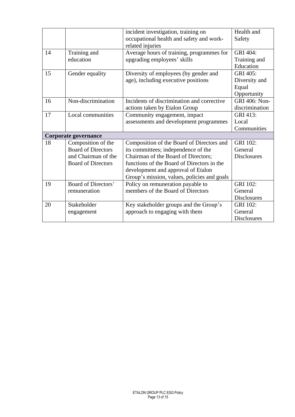|    |                            | incident investigation, training on         | Health and           |
|----|----------------------------|---------------------------------------------|----------------------|
|    |                            | occupational health and safety and work-    | Safety               |
|    |                            | related injuries                            |                      |
| 14 | Training and               | Average hours of training, programmes for   | <b>GRI 404:</b>      |
|    | education                  | upgrading employees' skills                 | Training and         |
|    |                            |                                             | Education            |
| 15 | Gender equality            | Diversity of employees (by gender and       | <b>GRI 405:</b>      |
|    |                            | age), including executive positions         | Diversity and        |
|    |                            |                                             | Equal                |
|    |                            |                                             | Opportunity          |
| 16 | Non-discrimination         | Incidents of discrimination and corrective  | <b>GRI 406: Non-</b> |
|    |                            | actions taken by Etalon Group               | discrimination       |
| 17 | Local communities          | Community engagement, impact                | GRI 413:             |
|    |                            | assessments and development programmes      | Local                |
|    |                            |                                             | Communities          |
|    | Corporate governance       |                                             |                      |
| 18 | Composition of the         | Composition of the Board of Directors and   | <b>GRI 102:</b>      |
|    | <b>Board of Directors</b>  | its committees; independence of the         | General              |
|    | and Chairman of the        | Chairman of the Board of Directors;         | <b>Disclosures</b>   |
|    | <b>Board of Directors</b>  | functions of the Board of Directors in the  |                      |
|    |                            | development and approval of Etalon          |                      |
|    |                            | Group's mission, values, policies and goals |                      |
| 19 | <b>Board of Directors'</b> | Policy on remuneration payable to           | <b>GRI 102:</b>      |
|    | remuneration               | members of the Board of Directors           | General              |
|    |                            |                                             | <b>Disclosures</b>   |
| 20 | Stakeholder                | Key stakeholder groups and the Group's      | <b>GRI 102:</b>      |
|    | engagement                 | approach to engaging with them              | General              |
|    |                            |                                             | <b>Disclosures</b>   |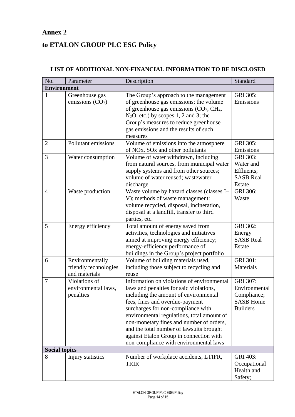## **Annex 2**

## **to ETALON GROUP PLC ESG Policy**

#### No. Parameter Description Description Standard **Environment** 1 Greenhouse gas emissions  $(CO<sub>2</sub>)$ The Group's approach to the management of greenhouse gas emissions; the volume of greenhouse gas emissions  $(CO<sub>2</sub>, CH<sub>4</sub>,$  $N_2O$ , etc.) by scopes 1, 2 and 3; the Group's measures to reduce greenhouse gas emissions and the results of such measures GRI 305: Emissions 2 Pollutant emissions Volume of emissions into the atmosphere of NOx, SOx and other pollutants GRI 305: Emissions 3 Water consumption Volume of water withdrawn, including from natural sources, from municipal water supply systems and from other sources; volume of water reused; wastewater discharge  $GRI$  303 $\cdot$ Water and Effluents; SASB Real Estate 4 Waste production Waste volume by hazard classes (classes I– V); methods of waste management: volume recycled, disposal, incineration, disposal at a landfill, transfer to third parties, etc. GRI 306: Waste 5 Energy efficiency Total amount of energy saved from activities, technologies and initiatives aimed at improving energy efficiency; energy-efficiency performance of buildings in the Group's project portfolio GRI 302: Energy SASB Real Estate 6 Environmentally friendly technologies and materials Volume of building materials used, including those subject to recycling and reuse GRI 301: **Materials** 7 Violations of environmental laws, penalties Information on violations of environmental laws and penalties for said violations, including the amount of environmental fees, fines and overdue-payment surcharges for non-compliance with environmental regulations, total amount of non-monetary fines and number of orders, and the total number of lawsuits brought against Etalon Group in connection with non-compliance with environmental laws  $GRI$  307 $\cdot$ Environmental Compliance; SASB Home Builders **Social topics** 8 Injury statistics Number of workplace accidents, LTIFR, TRIR GRI 403: **Occupational** Health and Safety;

#### **LIST OF ADDITIONAL NON-FINANCIAL INFORMATION TO BE DISCLOSED**